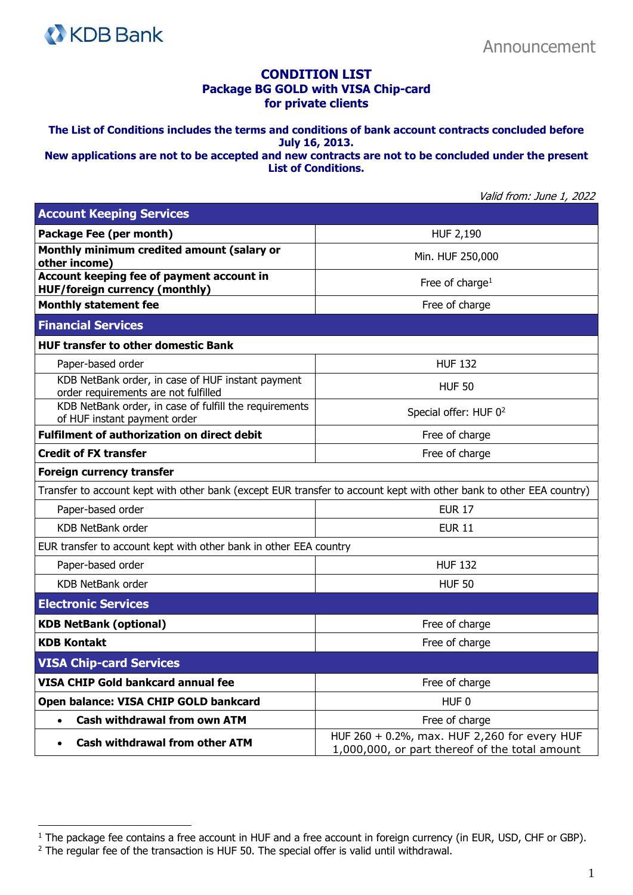

## **CONDITION LIST Package BG GOLD with VISA Chip-card for private clients**

**The List of Conditions includes the terms and conditions of bank account contracts concluded before July 16, 2013.** 

**New applications are not to be accepted and new contracts are not to be concluded under the present List of Conditions.**

Valid from: June 1, 2022

| <b>Account Keeping Services</b>                                                                                     |                                                                                                |  |
|---------------------------------------------------------------------------------------------------------------------|------------------------------------------------------------------------------------------------|--|
| Package Fee (per month)                                                                                             | <b>HUF 2,190</b>                                                                               |  |
| Monthly minimum credited amount (salary or<br>other income)                                                         | Min. HUF 250,000                                                                               |  |
| Account keeping fee of payment account in<br><b>HUF/foreign currency (monthly)</b>                                  | Free of charge <sup>1</sup>                                                                    |  |
| <b>Monthly statement fee</b>                                                                                        | Free of charge                                                                                 |  |
| <b>Financial Services</b>                                                                                           |                                                                                                |  |
| <b>HUF transfer to other domestic Bank</b>                                                                          |                                                                                                |  |
| Paper-based order                                                                                                   | <b>HUF 132</b>                                                                                 |  |
| KDB NetBank order, in case of HUF instant payment<br>order requirements are not fulfilled                           | <b>HUF 50</b>                                                                                  |  |
| KDB NetBank order, in case of fulfill the requirements<br>of HUF instant payment order                              | Special offer: HUF 0 <sup>2</sup>                                                              |  |
| <b>Fulfilment of authorization on direct debit</b>                                                                  | Free of charge                                                                                 |  |
| <b>Credit of FX transfer</b>                                                                                        | Free of charge                                                                                 |  |
| <b>Foreign currency transfer</b>                                                                                    |                                                                                                |  |
| Transfer to account kept with other bank (except EUR transfer to account kept with other bank to other EEA country) |                                                                                                |  |
| Paper-based order                                                                                                   | <b>EUR 17</b>                                                                                  |  |
| <b>KDB NetBank order</b>                                                                                            | <b>EUR 11</b>                                                                                  |  |
| EUR transfer to account kept with other bank in other EEA country                                                   |                                                                                                |  |
| Paper-based order                                                                                                   | <b>HUF 132</b>                                                                                 |  |
| KDB NetBank order                                                                                                   | <b>HUF 50</b>                                                                                  |  |
| <b>Electronic Services</b>                                                                                          |                                                                                                |  |
| <b>KDB NetBank (optional)</b>                                                                                       | Free of charge                                                                                 |  |
| <b>KDB Kontakt</b>                                                                                                  | Free of charge                                                                                 |  |
| <b>VISA Chip-card Services</b>                                                                                      |                                                                                                |  |
| <b>VISA CHIP Gold bankcard annual fee</b>                                                                           | Free of charge                                                                                 |  |
| Open balance: VISA CHIP GOLD bankcard                                                                               | HUF <sub>0</sub>                                                                               |  |
| <b>Cash withdrawal from own ATM</b><br>$\bullet$                                                                    | Free of charge                                                                                 |  |
| <b>Cash withdrawal from other ATM</b><br>$\bullet$                                                                  | HUF 260 + 0.2%, max. HUF 2,260 for every HUF<br>1,000,000, or part thereof of the total amount |  |

<sup>&</sup>lt;sup>1</sup> The package fee contains a free account in HUF and a free account in foreign currency (in EUR, USD, CHF or GBP).

<sup>&</sup>lt;sup>2</sup> The regular fee of the transaction is HUF 50. The special offer is valid until withdrawal.